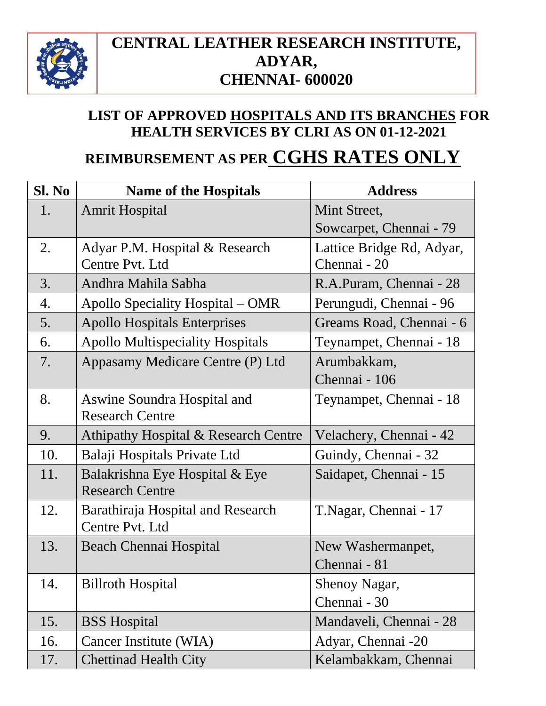

### **CENTRAL LEATHER RESEARCH INSTITUTE, ADYAR, CHENNAI- 600020**

### **LIST OF APPROVED HOSPITALS AND ITS BRANCHES FOR HEALTH SERVICES BY CLRI AS ON 01-12-2021**

## **REIMBURSEMENT AS PER CGHS RATES ONLY**

| Sl. No | <b>Name of the Hospitals</b>            | <b>Address</b>            |
|--------|-----------------------------------------|---------------------------|
| 1.     | <b>Amrit Hospital</b>                   | Mint Street,              |
|        |                                         | Sowcarpet, Chennai - 79   |
| 2.     | Adyar P.M. Hospital & Research          | Lattice Bridge Rd, Adyar, |
|        | Centre Pvt. Ltd                         | Chennai - 20              |
| 3.     | Andhra Mahila Sabha                     | R.A.Puram, Chennai - 28   |
| 4.     | Apollo Speciality Hospital – OMR        | Perungudi, Chennai - 96   |
| 5.     | <b>Apollo Hospitals Enterprises</b>     | Greams Road, Chennai - 6  |
| 6.     | <b>Apollo Multispeciality Hospitals</b> | Teynampet, Chennai - 18   |
| 7.     | Appasamy Medicare Centre (P) Ltd        | Arumbakkam,               |
|        |                                         | Chennai - 106             |
| 8.     | Aswine Soundra Hospital and             | Teynampet, Chennai - 18   |
|        | <b>Research Centre</b>                  |                           |
| 9.     | Athipathy Hospital & Research Centre    | Velachery, Chennai - 42   |
| 10.    | Balaji Hospitals Private Ltd            | Guindy, Chennai - 32      |
| 11.    | Balakrishna Eye Hospital & Eye          | Saidapet, Chennai - 15    |
|        | <b>Research Centre</b>                  |                           |
| 12.    | Barathiraja Hospital and Research       | T.Nagar, Chennai - 17     |
|        | Centre Pvt. Ltd                         |                           |
| 13.    | Beach Chennai Hospital                  | New Washermanpet,         |
|        |                                         | Chennai - 81              |
| 14.    | <b>Billroth Hospital</b>                | Shenoy Nagar,             |
|        |                                         | Chennai - 30              |
| 15.    | <b>BSS</b> Hospital                     | Mandaveli, Chennai - 28   |
| 16.    | Cancer Institute (WIA)                  | Adyar, Chennai -20        |
| 17.    | <b>Chettinad Health City</b>            | Kelambakkam, Chennai      |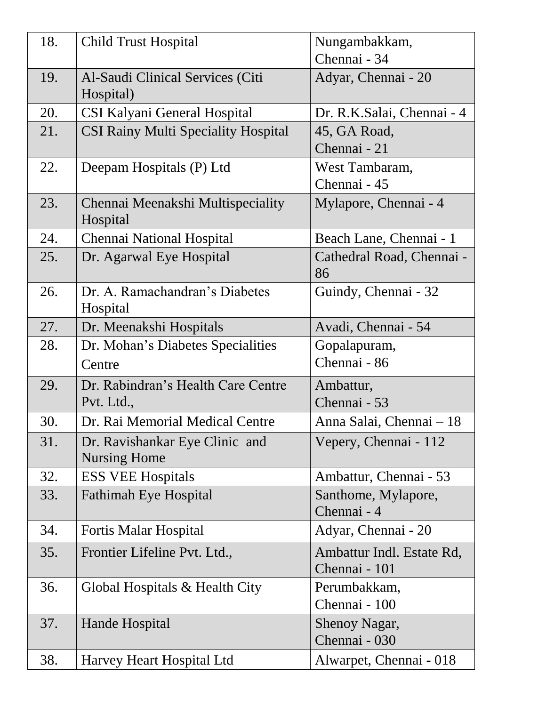| 18. | <b>Child Trust Hospital</b>                           | Nungambakkam,<br>Chennai - 34              |
|-----|-------------------------------------------------------|--------------------------------------------|
| 19. | Al-Saudi Clinical Services (Citi<br>Hospital)         | Adyar, Chennai - 20                        |
| 20. | <b>CSI Kalyani General Hospital</b>                   | Dr. R.K.Salai, Chennai - 4                 |
| 21. | <b>CSI Rainy Multi Speciality Hospital</b>            | 45, GA Road,<br>Chennai - 21               |
| 22. | Deepam Hospitals (P) Ltd                              | West Tambaram,<br>Chennai - 45             |
| 23. | Chennai Meenakshi Multispeciality<br>Hospital         | Mylapore, Chennai - 4                      |
| 24. | Chennai National Hospital                             | Beach Lane, Chennai - 1                    |
| 25. | Dr. Agarwal Eye Hospital                              | Cathedral Road, Chennai -<br>86            |
| 26. | Dr. A. Ramachandran's Diabetes<br>Hospital            | Guindy, Chennai - 32                       |
| 27. | Dr. Meenakshi Hospitals                               | Avadi, Chennai - 54                        |
| 28. | Dr. Mohan's Diabetes Specialities                     | Gopalapuram,                               |
|     | Centre                                                | Chennai - 86                               |
| 29. | Dr. Rabindran's Health Care Centre<br>Pvt. Ltd.,      | Ambattur,<br>Chennai - 53                  |
| 30. | Dr. Rai Memorial Medical Centre                       | Anna Salai, Chennai – 18                   |
| 31. | Dr. Ravishankar Eye Clinic and<br><b>Nursing Home</b> | Vepery, Chennai - 112                      |
| 32. | <b>ESS VEE Hospitals</b>                              | Ambattur, Chennai - 53                     |
| 33. | <b>Fathimah Eye Hospital</b>                          | Santhome, Mylapore,<br>Chennai - 4         |
| 34. | <b>Fortis Malar Hospital</b>                          | Adyar, Chennai - 20                        |
| 35. | Frontier Lifeline Pvt. Ltd.,                          | Ambattur Indl. Estate Rd,<br>Chennai - 101 |
| 36. | Global Hospitals & Health City                        | Perumbakkam,<br>Chennai - 100              |
| 37. | Hande Hospital                                        | Shenoy Nagar,<br>Chennai - 030             |
| 38. | Harvey Heart Hospital Ltd                             | Alwarpet, Chennai - 018                    |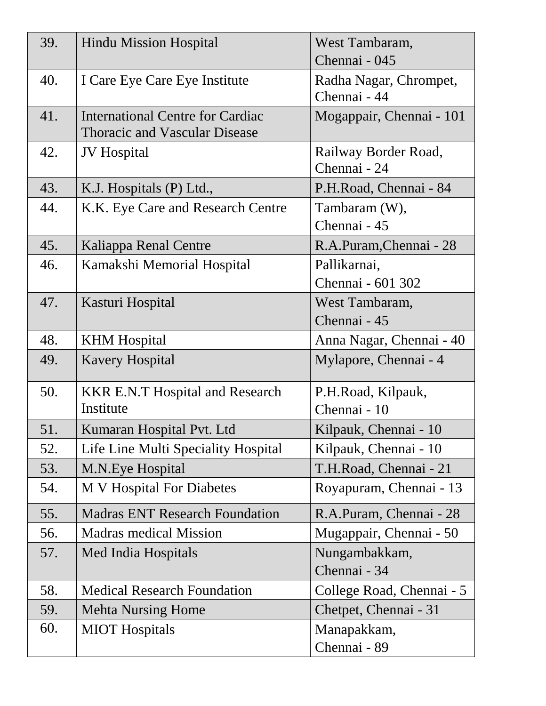| 39. | <b>Hindu Mission Hospital</b>           | West Tambaram,            |
|-----|-----------------------------------------|---------------------------|
|     |                                         | Chennai - 045             |
| 40. | I Care Eye Care Eye Institute           | Radha Nagar, Chrompet,    |
|     |                                         | Chennai - 44              |
| 41. | <b>International Centre for Cardiac</b> | Mogappair, Chennai - 101  |
|     | <b>Thoracic and Vascular Disease</b>    |                           |
| 42. | <b>JV</b> Hospital                      | Railway Border Road,      |
|     |                                         | Chennai - 24              |
| 43. | K.J. Hospitals (P) Ltd.,                | P.H.Road, Chennai - 84    |
| 44. | K.K. Eye Care and Research Centre       | Tambaram (W),             |
|     |                                         | Chennai - 45              |
| 45. | Kaliappa Renal Centre                   | R.A.Puram, Chennai - 28   |
| 46. | Kamakshi Memorial Hospital              | Pallikarnai,              |
|     |                                         | Chennai - 601 302         |
| 47. | Kasturi Hospital                        | West Tambaram,            |
|     |                                         | Chennai - 45              |
| 48. | <b>KHM</b> Hospital                     | Anna Nagar, Chennai - 40  |
| 49. | <b>Kavery Hospital</b>                  | Mylapore, Chennai - 4     |
| 50. | <b>KKR E.N.T Hospital and Research</b>  | P.H.Road, Kilpauk,        |
|     | Institute                               | Chennai - 10              |
| 51. | Kumaran Hospital Pvt. Ltd               | Kilpauk, Chennai - 10     |
| 52. | Life Line Multi Speciality Hospital     | Kilpauk, Chennai - 10     |
| 53. | M.N. Eye Hospital                       | T.H.Road, Chennai - 21    |
| 54. | M V Hospital For Diabetes               | Royapuram, Chennai - 13   |
| 55. | <b>Madras ENT Research Foundation</b>   | R.A.Puram, Chennai - 28   |
| 56. | <b>Madras medical Mission</b>           | Mugappair, Chennai - 50   |
| 57. | Med India Hospitals                     | Nungambakkam,             |
|     |                                         | Chennai - 34              |
| 58. | <b>Medical Research Foundation</b>      | College Road, Chennai - 5 |
| 59. | <b>Mehta Nursing Home</b>               | Chetpet, Chennai - 31     |
| 60. | <b>MIOT</b> Hospitals                   | Manapakkam,               |
|     |                                         | Chennai - 89              |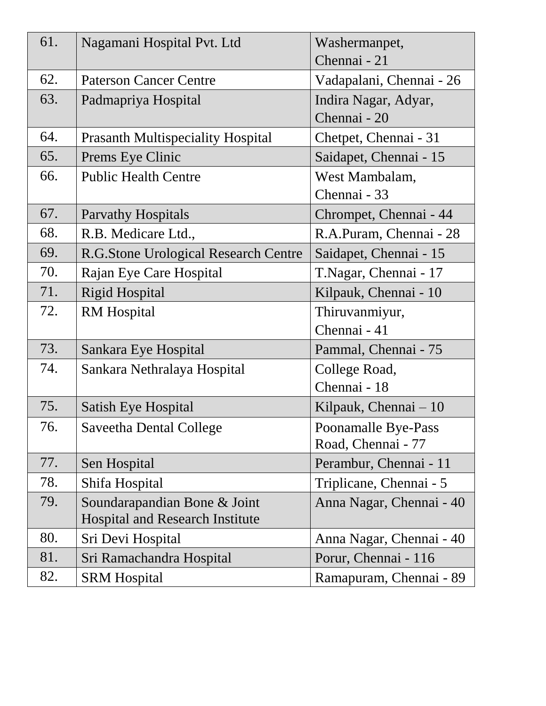| 61. | Nagamani Hospital Pvt. Ltd               | Washermanpet,            |
|-----|------------------------------------------|--------------------------|
|     |                                          | Chennai - 21             |
| 62. | <b>Paterson Cancer Centre</b>            | Vadapalani, Chennai - 26 |
| 63. | Padmapriya Hospital                      | Indira Nagar, Adyar,     |
|     |                                          | Chennai - 20             |
| 64. | <b>Prasanth Multispeciality Hospital</b> | Chetpet, Chennai - 31    |
| 65. | Prems Eye Clinic                         | Saidapet, Chennai - 15   |
| 66. | <b>Public Health Centre</b>              | West Mambalam,           |
|     |                                          | Chennai - 33             |
| 67. | <b>Parvathy Hospitals</b>                | Chrompet, Chennai - 44   |
| 68. | R.B. Medicare Ltd.,                      | R.A.Puram, Chennai - 28  |
| 69. | R.G.Stone Urological Research Centre     | Saidapet, Chennai - 15   |
| 70. | Rajan Eye Care Hospital                  | T.Nagar, Chennai - 17    |
| 71. | <b>Rigid Hospital</b>                    | Kilpauk, Chennai - 10    |
| 72. | <b>RM</b> Hospital                       | Thiruvanmiyur,           |
|     |                                          | Chennai - 41             |
| 73. | Sankara Eye Hospital                     | Pammal, Chennai - 75     |
| 74. | Sankara Nethralaya Hospital              | College Road,            |
|     |                                          | Chennai - 18             |
| 75. | Satish Eye Hospital                      | Kilpauk, Chennai – 10    |
| 76. | <b>Saveetha Dental College</b>           | Poonamalle Bye-Pass      |
|     |                                          | Road, Chennai - 77       |
| 77. | Sen Hospital                             | Perambur, Chennai - 11   |
| 78. | Shifa Hospital                           | Triplicane, Chennai - 5  |
| 79. | Soundarapandian Bone & Joint             | Anna Nagar, Chennai - 40 |
|     | <b>Hospital and Research Institute</b>   |                          |
| 80. | Sri Devi Hospital                        | Anna Nagar, Chennai - 40 |
| 81. | Sri Ramachandra Hospital                 | Porur, Chennai - 116     |
| 82. | <b>SRM Hospital</b>                      | Ramapuram, Chennai - 89  |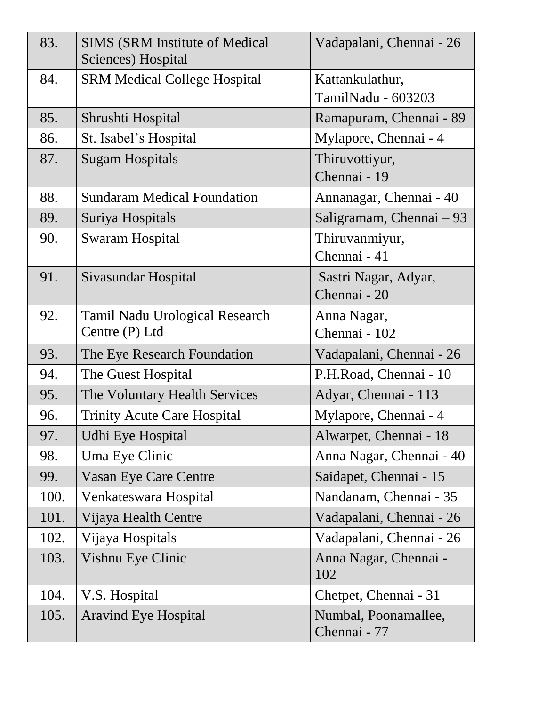| 83.  | <b>SIMS (SRM Institute of Medical</b><br>Sciences) Hospital | Vadapalani, Chennai - 26              |
|------|-------------------------------------------------------------|---------------------------------------|
| 84.  | <b>SRM Medical College Hospital</b>                         | Kattankulathur,<br>TamilNadu - 603203 |
| 85.  | Shrushti Hospital                                           | Ramapuram, Chennai - 89               |
| 86.  | St. Isabel's Hospital                                       | Mylapore, Chennai - 4                 |
| 87.  | <b>Sugam Hospitals</b>                                      | Thiruvottiyur,<br>Chennai - 19        |
| 88.  | <b>Sundaram Medical Foundation</b>                          | Annanagar, Chennai - 40               |
| 89.  | Suriya Hospitals                                            | Saligramam, Chennai – 93              |
| 90.  | <b>Swaram Hospital</b>                                      | Thiruvanmiyur,<br>Chennai - 41        |
| 91.  | Sivasundar Hospital                                         | Sastri Nagar, Adyar,<br>Chennai - 20  |
| 92.  | <b>Tamil Nadu Urological Research</b><br>Centre (P) Ltd     | Anna Nagar,<br>Chennai - 102          |
| 93.  | The Eye Research Foundation                                 | Vadapalani, Chennai - 26              |
| 94.  | The Guest Hospital                                          | P.H.Road, Chennai - 10                |
| 95.  | The Voluntary Health Services                               | Adyar, Chennai - 113                  |
| 96.  | <b>Trinity Acute Care Hospital</b>                          | Mylapore, Chennai - 4                 |
| 97.  | Udhi Eye Hospital                                           | Alwarpet, Chennai - 18                |
| 98.  | Uma Eye Clinic                                              | Anna Nagar, Chennai - 40              |
| 99.  | <b>Vasan Eye Care Centre</b>                                | Saidapet, Chennai - 15                |
| 100. | Venkateswara Hospital                                       | Nandanam, Chennai - 35                |
| 101. | Vijaya Health Centre                                        | Vadapalani, Chennai - 26              |
| 102. | Vijaya Hospitals                                            | Vadapalani, Chennai - 26              |
| 103. | Vishnu Eye Clinic                                           | Anna Nagar, Chennai -<br>102          |
| 104. | V.S. Hospital                                               | Chetpet, Chennai - 31                 |
| 105. | <b>Aravind Eye Hospital</b>                                 | Numbal, Poonamallee,<br>Chennai - 77  |